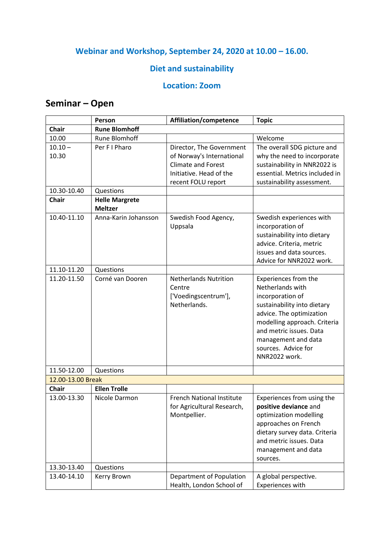### **Webinar and Workshop, September 24, 2020 at 10.00 – 16.00.**

### **Diet and sustainability**

#### **Location: Zoom**

## **Seminar – Open**

|                    | Person                                  | Affiliation/competence                                                                                                              | <b>Topic</b>                                                                                                                                                                                                                                      |
|--------------------|-----------------------------------------|-------------------------------------------------------------------------------------------------------------------------------------|---------------------------------------------------------------------------------------------------------------------------------------------------------------------------------------------------------------------------------------------------|
| <b>Chair</b>       | <b>Rune Blomhoff</b>                    |                                                                                                                                     |                                                                                                                                                                                                                                                   |
| 10.00              | <b>Rune Blomhoff</b>                    |                                                                                                                                     | Welcome                                                                                                                                                                                                                                           |
| $10.10 -$<br>10.30 | Per F I Pharo                           | Director, The Government<br>of Norway's International<br><b>Climate and Forest</b><br>Initiative. Head of the<br>recent FOLU report | The overall SDG picture and<br>why the need to incorporate<br>sustainability in NNR2022 is<br>essential. Metrics included in<br>sustainability assessment.                                                                                        |
| 10.30-10.40        | Questions                               |                                                                                                                                     |                                                                                                                                                                                                                                                   |
| <b>Chair</b>       | <b>Helle Margrete</b><br><b>Meltzer</b> |                                                                                                                                     |                                                                                                                                                                                                                                                   |
| 10.40-11.10        | Anna-Karin Johansson                    | Swedish Food Agency,<br>Uppsala                                                                                                     | Swedish experiences with<br>incorporation of<br>sustainability into dietary<br>advice. Criteria, metric<br>issues and data sources.<br>Advice for NNR2022 work.                                                                                   |
| 11.10-11.20        | Questions                               |                                                                                                                                     |                                                                                                                                                                                                                                                   |
| 11.20-11.50        | Corné van Dooren                        | <b>Netherlands Nutrition</b><br>Centre<br>['Voedingscentrum'],<br>Netherlands.                                                      | Experiences from the<br>Netherlands with<br>incorporation of<br>sustainability into dietary<br>advice. The optimization<br>modelling approach. Criteria<br>and metric issues. Data<br>management and data<br>sources. Advice for<br>NNR2022 work. |
| 11.50-12.00        | Questions                               |                                                                                                                                     |                                                                                                                                                                                                                                                   |
| 12.00-13.00 Break  |                                         |                                                                                                                                     |                                                                                                                                                                                                                                                   |
| Chair              | <b>Ellen Trolle</b>                     |                                                                                                                                     |                                                                                                                                                                                                                                                   |
| 13.00-13.30        | Nicole Darmon                           | French National Institute<br>for Agricultural Research,<br>Montpellier.                                                             | Experiences from using the<br>positive deviance and<br>optimization modelling<br>approaches on French<br>dietary survey data. Criteria<br>and metric issues. Data<br>management and data<br>sources.                                              |
| 13.30-13.40        | Questions                               |                                                                                                                                     |                                                                                                                                                                                                                                                   |
| 13.40-14.10        | Kerry Brown                             | Department of Population<br>Health, London School of                                                                                | A global perspective.<br>Experiences with                                                                                                                                                                                                         |